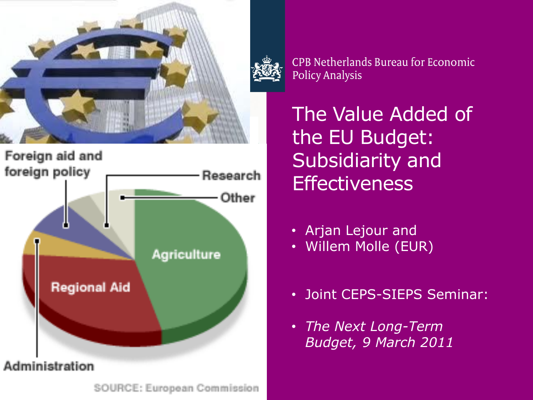



SOURCE: European Commission

CPB Netherlands Bureau for Economic **Policy Analysis** 

The Value Added of the EU Budget: Subsidiarity and **Effectiveness** 

- Arjan Lejour and
- Willem Molle (EUR)
- Joint CEPS-SIEPS Seminar:
- *The Next Long-Term Budget, 9 March 2011*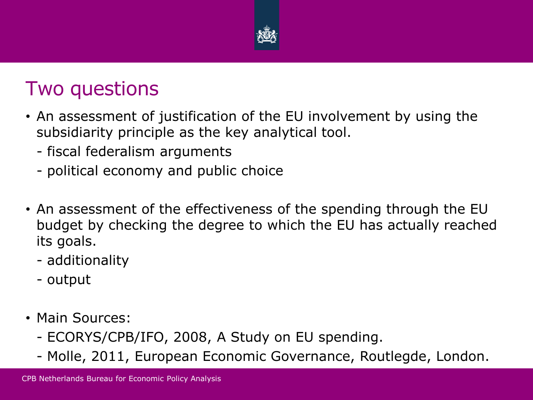

#### Two questions

- An assessment of justification of the EU involvement by using the subsidiarity principle as the key analytical tool.
	- fiscal federalism arguments
	- political economy and public choice
- An assessment of the effectiveness of the spending through the EU budget by checking the degree to which the EU has actually reached its goals.
	- additionality
	- output
- Main Sources:
	- ECORYS/CPB/IFO, 2008, A Study on EU spending.
	- Molle, 2011, European Economic Governance, Routlegde, London.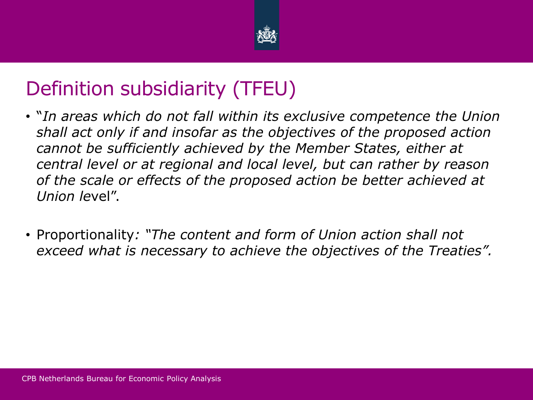

# Definition subsidiarity (TFEU)

- "*In areas which do not fall within its exclusive competence the Union shall act only if and insofar as the objectives of the proposed action cannot be sufficiently achieved by the Member States, either at central level or at regional and local level, but can rather by reason of the scale or effects of the proposed action be better achieved at Union le*vel".
- Proportionality*: "The content and form of Union action shall not exceed what is necessary to achieve the objectives of the Treaties".*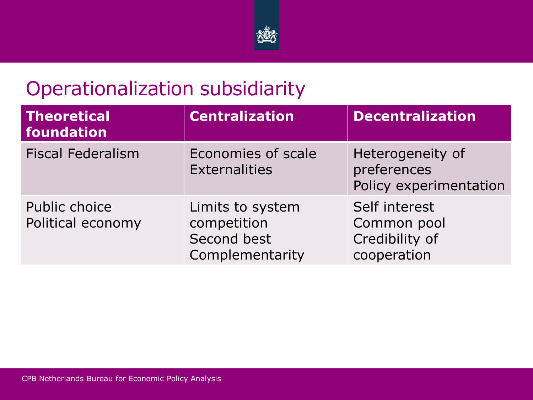

# Operationalization subsidiarity

| <b>Theoretical</b><br>foundation   | <b>Centralization</b>                                             | <b>Decentralization</b>                                       |
|------------------------------------|-------------------------------------------------------------------|---------------------------------------------------------------|
| <b>Fiscal Federalism</b>           | Economies of scale<br><b>Externalities</b>                        | Heterogeneity of<br>preferences<br>Policy experimentation     |
| Public choice<br>Political economy | Limits to system<br>competition<br>Second best<br>Complementarity | Self interest<br>Common pool<br>Credibility of<br>cooperation |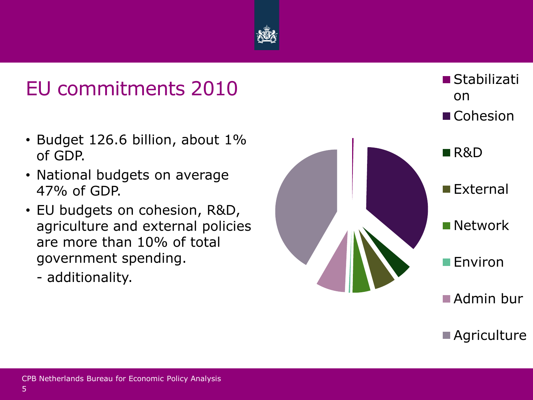

- Budget 126.6 billion, about 1% of GDP.
- National budgets on average 47% of GDP.
- EU budgets on cohesion, R&D, agriculture and external policies are more than 10% of total government spending.
	- additionality.

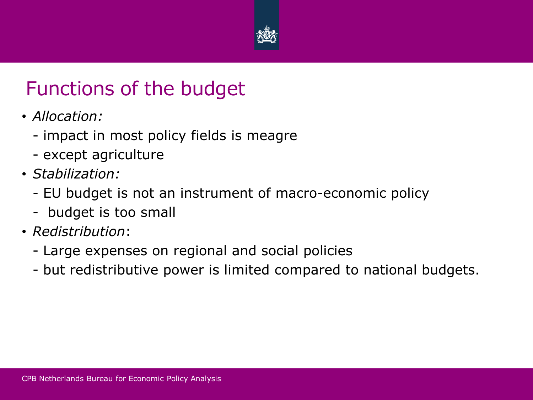

# Functions of the budget

- *Allocation:* 
	- impact in most policy fields is meagre
	- except agriculture
- *Stabilization:* 
	- EU budget is not an instrument of macro-economic policy
	- budget is too small
- *Redistribution*:
	- Large expenses on regional and social policies
	- but redistributive power is limited compared to national budgets.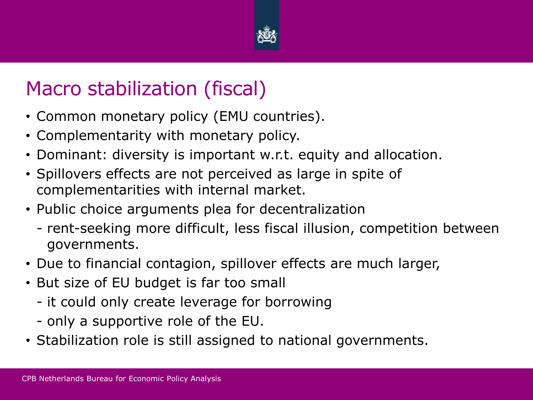

# Macro stabilization (fiscal)

- Common monetary policy (EMU countries).
- Complementarity with monetary policy.
- Dominant: diversity is important w.r.t. equity and allocation.
- Spillovers effects are not perceived as large in spite of complementarities with internal market.
- Public choice arguments plea for decentralization
	- rent-seeking more difficult, less fiscal illusion, competition between governments.
- Due to financial contagion, spillover effects are much larger,
- But size of EU budget is far too small
	- it could only create leverage for borrowing
	- only a supportive role of the EU.
- Stabilization role is still assigned to national governments.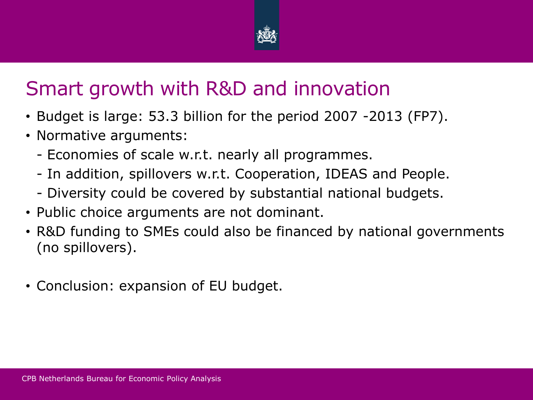

# Smart growth with R&D and innovation

- Budget is large: 53.3 billion for the period 2007 -2013 (FP7).
- Normative arguments:
	- Economies of scale w.r.t. nearly all programmes.
	- In addition, spillovers w.r.t. Cooperation, IDEAS and People.
	- Diversity could be covered by substantial national budgets.
- Public choice arguments are not dominant.
- R&D funding to SMEs could also be financed by national governments (no spillovers).
- Conclusion: expansion of EU budget.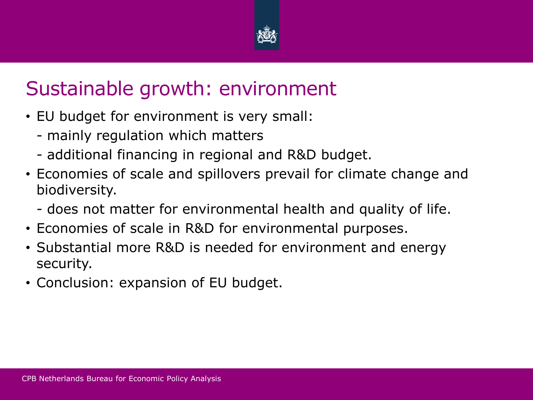

## Sustainable growth: environment

- EU budget for environment is very small:
	- mainly regulation which matters
	- additional financing in regional and R&D budget.
- Economies of scale and spillovers prevail for climate change and biodiversity.
	- does not matter for environmental health and quality of life.
- Economies of scale in R&D for environmental purposes.
- Substantial more R&D is needed for environment and energy security.
- Conclusion: expansion of EU budget.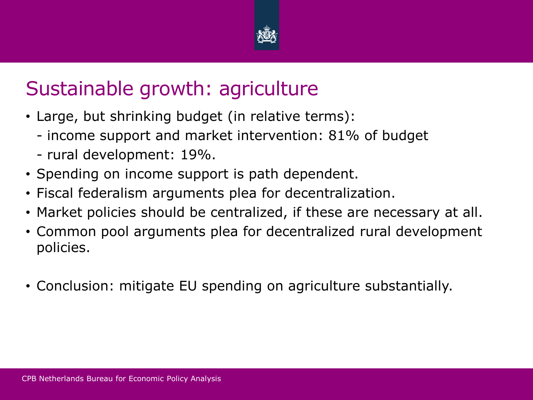

## Sustainable growth: agriculture

- Large, but shrinking budget (in relative terms):
	- income support and market intervention: 81% of budget
	- rural development: 19%.
- Spending on income support is path dependent.
- Fiscal federalism arguments plea for decentralization.
- Market policies should be centralized, if these are necessary at all.
- Common pool arguments plea for decentralized rural development policies.
- Conclusion: mitigate EU spending on agriculture substantially.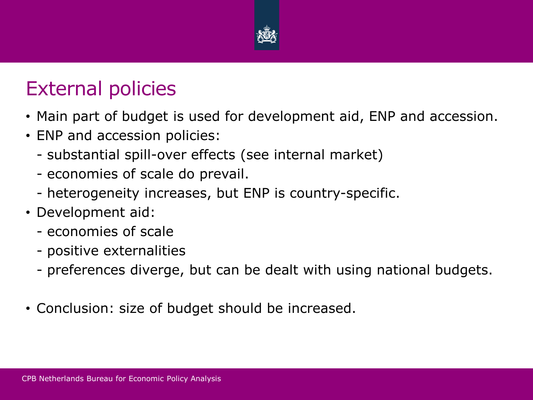

#### External policies

- Main part of budget is used for development aid, ENP and accession.
- ENP and accession policies:
	- substantial spill-over effects (see internal market)
	- economies of scale do prevail.
	- heterogeneity increases, but ENP is country-specific.
- Development aid:
	- economies of scale
	- positive externalities
	- preferences diverge, but can be dealt with using national budgets.
- Conclusion: size of budget should be increased.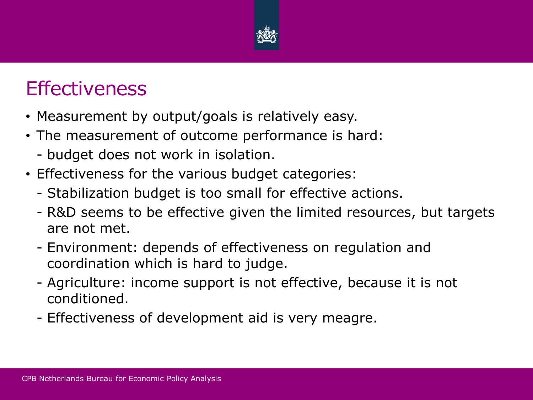

## **Effectiveness**

- Measurement by output/goals is relatively easy.
- The measurement of outcome performance is hard:
	- budget does not work in isolation.
- Effectiveness for the various budget categories:
	- Stabilization budget is too small for effective actions.
	- R&D seems to be effective given the limited resources, but targets are not met.
	- Environment: depends of effectiveness on regulation and coordination which is hard to judge.
	- Agriculture: income support is not effective, because it is not conditioned.
	- Effectiveness of development aid is very meagre.